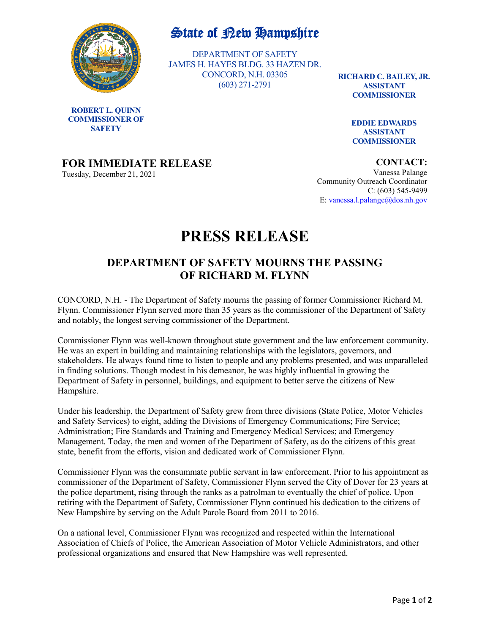

**ROBERT L. QUINN COMMISSIONER OF SAFETY**

## State of Rew Hampshire

DEPARTMENT OF SAFETY JAMES H. HAYES BLDG. 33 HAZEN DR. CONCORD, N.H. 03305 (603) 271-2791

**RICHARD C. BAILEY, JR. ASSISTANT COMMISSIONER**

> **EDDIE EDWARDS ASSISTANT COMMISSIONER**

## **FOR IMMEDIATE RELEASE**

Tuesday, December 21, 2021

**CONTACT:**

Vanessa Palange Community Outreach Coordinator C: (603) 545-9499 E: [vanessa.l.palange@dos.nh.gov](mailto:vanessa.l.palange@dos.nh.gov)

## **PRESS RELEASE**

## **DEPARTMENT OF SAFETY MOURNS THE PASSING OF RICHARD M. FLYNN**

CONCORD, N.H. - The Department of Safety mourns the passing of former Commissioner Richard M. Flynn. Commissioner Flynn served more than 35 years as the commissioner of the Department of Safety and notably, the longest serving commissioner of the Department.

Commissioner Flynn was well-known throughout state government and the law enforcement community. He was an expert in building and maintaining relationships with the legislators, governors, and stakeholders. He always found time to listen to people and any problems presented, and was unparalleled in finding solutions. Though modest in his demeanor, he was highly influential in growing the Department of Safety in personnel, buildings, and equipment to better serve the citizens of New Hampshire.

Under his leadership, the Department of Safety grew from three divisions (State Police, Motor Vehicles and Safety Services) to eight, adding the Divisions of Emergency Communications; Fire Service; Administration; Fire Standards and Training and Emergency Medical Services; and Emergency Management. Today, the men and women of the Department of Safety, as do the citizens of this great state, benefit from the efforts, vision and dedicated work of Commissioner Flynn.

Commissioner Flynn was the consummate public servant in law enforcement. Prior to his appointment as commissioner of the Department of Safety, Commissioner Flynn served the City of Dover for 23 years at the police department, rising through the ranks as a patrolman to eventually the chief of police. Upon retiring with the Department of Safety, Commissioner Flynn continued his dedication to the citizens of New Hampshire by serving on the Adult Parole Board from 2011 to 2016.

On a national level, Commissioner Flynn was recognized and respected within the International Association of Chiefs of Police, the American Association of Motor Vehicle Administrators, and other professional organizations and ensured that New Hampshire was well represented.